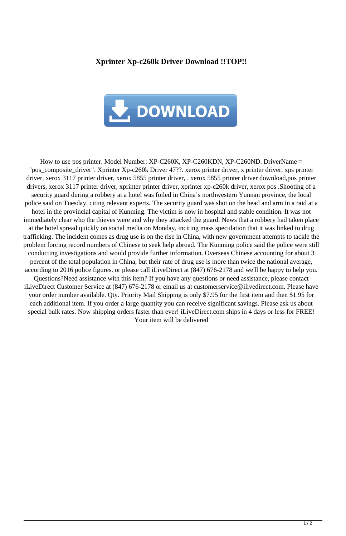## **Xprinter Xp-c260k Driver Download !!TOP!!**



How to use pos printer. Model Number: XP-C260K, XP-C260KDN, XP-C260ND. DriverName = "pos\_composite\_driver". Xprinter Xp-c260k Driver 47??. xerox printer driver, x printer driver, xps printer driver, xerox 3117 printer driver, xerox 5855 printer driver, . xerox 5855 printer driver download,pos printer drivers, xerox 3117 printer driver, xprinter printer driver, xprinter xp-c260k driver, xerox pos .Shooting of a security guard during a robbery at a hotel was foiled in China's northwestern Yunnan province, the local police said on Tuesday, citing relevant experts. The security guard was shot on the head and arm in a raid at a hotel in the provincial capital of Kunming. The victim is now in hospital and stable condition. It was not immediately clear who the thieves were and why they attacked the guard. News that a robbery had taken place at the hotel spread quickly on social media on Monday, inciting mass speculation that it was linked to drug trafficking. The incident comes as drug use is on the rise in China, with new government attempts to tackle the problem forcing record numbers of Chinese to seek help abroad. The Kunming police said the police were still conducting investigations and would provide further information. Overseas Chinese accounting for about 3 percent of the total population in China, but their rate of drug use is more than twice the national average, according to 2016 police figures. or please call iLiveDirect at (847) 676-2178 and we'll be happy to help you. Questions?Need assistance with this item? If you have any questions or need assistance, please contact iLiveDirect Customer Service at (847) 676-2178 or email us at customerservice@ilivedirect.com. Please have your order number available. Qty. Priority Mail Shipping is only \$7.95 for the first item and then \$1.95 for each additional item. If you order a large quantity you can receive significant savings. Please ask us about special bulk rates. Now shipping orders faster than ever! iLiveDirect.com ships in 4 days or less for FREE! Your item will be delivered